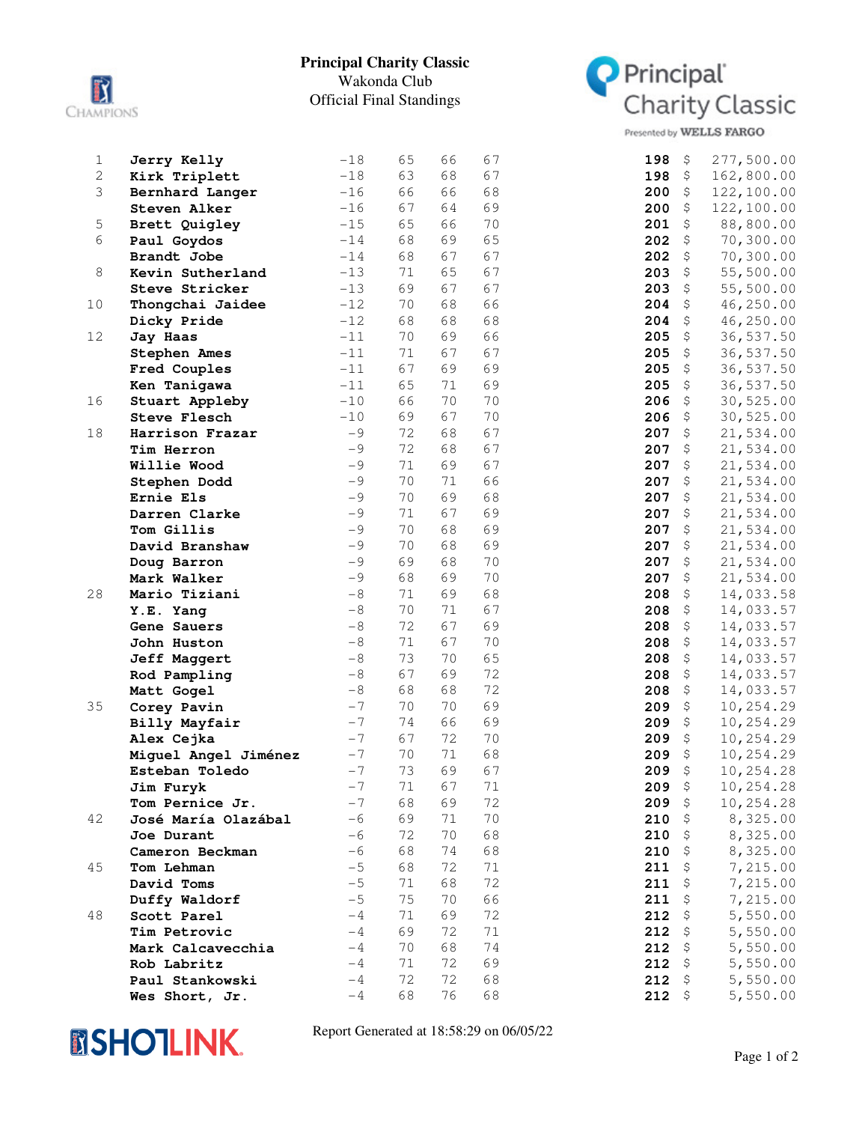

## **Principal Charity Classic** Wakonda Club Official Final Standings



Presented by WELLS FARGO

| $\mathbf 1$  | Jerry Kelly          | $-18$ | 65 | 66 | 67     | 198<br>277,500.00<br>\$                       |  |
|--------------|----------------------|-------|----|----|--------|-----------------------------------------------|--|
| $\mathbf{2}$ | Kirk Triplett        | $-18$ | 63 | 68 | 67     | 198<br>\$<br>162,800.00                       |  |
| 3            | Bernhard Langer      | $-16$ | 66 | 66 | 68     | 200<br>\$<br>122,100.00                       |  |
|              | Steven Alker         | $-16$ | 67 | 64 | 69     | \$<br>200<br>122,100.00                       |  |
| 5            | Brett Quigley        | $-15$ | 65 | 66 | 70     | 201<br>\$<br>88,800.00                        |  |
| 6            | Paul Goydos          | $-14$ | 68 | 69 | 65     | 202<br>\$<br>70,300.00                        |  |
|              | Brandt Jobe          | $-14$ | 68 | 67 | 67     | \$<br>70,300.00<br>202                        |  |
| 8            | Kevin Sutherland     | $-13$ | 71 | 65 | 67     | 203<br>\$<br>55,500.00                        |  |
|              | Steve Stricker       | $-13$ | 69 | 67 | 67     | 203<br>\$<br>55,500.00                        |  |
| 10           | Thongchai Jaidee     | $-12$ | 70 | 68 | 66     | 204<br>\$<br>46,250.00                        |  |
|              | Dicky Pride          | $-12$ | 68 | 68 | 68     | 204<br>\$<br>46,250.00                        |  |
| 12           | Jay Haas             | $-11$ | 70 | 69 | 66     | 205<br>\$<br>36,537.50                        |  |
|              | <b>Stephen Ames</b>  | $-11$ | 71 | 67 | 67     | 205<br>\$<br>36,537.50                        |  |
|              | Fred Couples         | $-11$ | 67 | 69 | 69     | 205<br>\$<br>36,537.50                        |  |
|              | Ken Tanigawa         | $-11$ | 65 | 71 | 69     | $\boldsymbol{\mathsf{S}}$<br>205<br>36,537.50 |  |
| 16           | Stuart Appleby       | $-10$ | 66 | 70 | 70     | 206<br>\$<br>30,525.00                        |  |
|              | <b>Steve Flesch</b>  | $-10$ | 69 | 67 | 70     | 206<br>\$<br>30,525.00                        |  |
| 18           | Harrison Frazar      | $-9$  | 72 | 68 | 67     | 207<br>\$<br>21,534.00                        |  |
|              | Tim Herron           | $-9$  | 72 | 68 | 67     | 207<br>\$<br>21,534.00                        |  |
|              | Willie Wood          | $-9$  | 71 | 69 | 67     | 207<br>\$<br>21,534.00                        |  |
|              | Stephen Dodd         | $-9$  | 70 | 71 | 66     | 207<br>\$<br>21,534.00                        |  |
|              | Ernie Els            | $-9$  | 70 | 69 | 68     | 207<br>\$<br>21,534.00                        |  |
|              | Darren Clarke        | $-9$  | 71 | 67 | 69     | 207<br>\$<br>21,534.00                        |  |
|              | Tom Gillis           | $-9$  | 70 | 68 | 69     | 207<br>\$<br>21,534.00                        |  |
|              | David Branshaw       | $-9$  | 70 | 68 | 69     | 207<br>\$<br>21,534.00                        |  |
|              | Doug Barron          | $-9$  | 69 | 68 | 70     | 207<br>\$<br>21,534.00                        |  |
|              | Mark Walker          | $-9$  | 68 | 69 | 70     | 207<br>\$<br>21,534.00                        |  |
| 28           | Mario Tiziani        | $-8$  | 71 | 69 | 68     | 208<br>\$<br>14,033.58                        |  |
|              | Y.E. Yang            | $-8$  | 70 | 71 | 67     | 208<br>\$<br>14,033.57                        |  |
|              | Gene Sauers          | $-8$  | 72 | 67 | 69     | 208<br>\$<br>14,033.57                        |  |
|              | John Huston          | $-8$  | 71 | 67 | 70     | 208<br>\$<br>14,033.57                        |  |
|              | Jeff Maggert         | $-8$  | 73 | 70 | 65     | \$<br>208<br>14,033.57                        |  |
|              | Rod Pampling         | $-8$  | 67 | 69 | 72     | $\boldsymbol{\mathsf{S}}$<br>208<br>14,033.57 |  |
|              | Matt Gogel           | $-8$  | 68 | 68 | 72     | 208<br>\$<br>14,033.57                        |  |
| 35           | Corey Pavin          | $-7$  | 70 | 70 | 69     | 209<br>\$<br>10,254.29                        |  |
|              | Billy Mayfair        | $-7$  | 74 | 66 | 69     | 209<br>\$<br>10,254.29                        |  |
|              | Alex Cejka           | $-7$  | 67 | 72 | 70     | 209<br>\$<br>10,254.29                        |  |
|              | Miguel Angel Jiménez | $-7$  | 70 | 71 | 68     | 209<br>\$<br>10,254.29                        |  |
|              | Esteban Toledo       | $-7$  | 73 | 69 | 67     | 209<br>\$<br>10,254.28                        |  |
|              | Jim Furyk            | $-7$  | 71 | 67 | $71\,$ | $209$ \$<br>10,254.28                         |  |
|              | Tom Pernice Jr.      | $-7$  | 68 | 69 | 72     | 209<br>\$<br>10,254.28                        |  |
| 42           | José María Olazábal  | $-6$  | 69 | 71 | 70     | 210<br>8,325.00<br>\$                         |  |
|              | Joe Durant           | $-6$  | 72 | 70 | 68     | 8,325.00<br>210<br>\$                         |  |
|              | Cameron Beckman      | $-6$  | 68 | 74 | 68     | 8,325.00<br>210<br>$\varsigma$                |  |
| 45           | Tom Lehman           | $-5$  | 68 | 72 | 71     | 211<br>\$<br>7,215.00                         |  |
|              | David Toms           | $-5$  | 71 | 68 | 72     | 211<br>\$<br>7,215.00                         |  |
|              | Duffy Waldorf        | $-5$  | 75 | 70 | 66     | 211<br>$\varsigma$<br>7,215.00                |  |
| 48           | Scott Parel          | $-4$  | 71 | 69 | 72     | 212<br>\$<br>5,550.00                         |  |
|              | Tim Petrovic         | $-4$  | 69 | 72 | 71     | 212<br>$\varsigma$<br>5,550.00                |  |
|              | Mark Calcavecchia    | $-4$  | 70 | 68 | 74     | 212<br>$\varsigma$<br>5,550.00                |  |
|              | Rob Labritz          | $-4$  | 71 | 72 | 69     | 212<br>\$<br>5,550.00                         |  |
|              | Paul Stankowski      | $-4$  | 72 | 72 | 68     | $\boldsymbol{\mathsf{S}}$<br>5,550.00<br>212  |  |
|              | Wes Short, Jr.       | $-4$  | 68 | 76 | 68     | $212$ \$<br>5,550.00                          |  |



Report Generated at 18:58:29 on 06/05/22